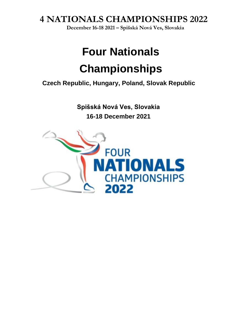**December 16-18 2021 – Spišská Nová Ves, Slovakia**

## **Four Nationals Championships**

**Czech Republic, Hungary, Poland, Slovak Republic**

**Spišská Nová Ves, Slovakia 16-18 December 2021**

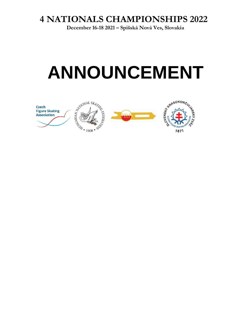**December 16-18 2021 – Spišská Nová Ves, Slovakia**

# **ANNOUNCEMENT**

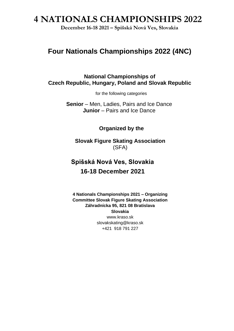**December 16-18 2021 – Spišská Nová Ves, Slovakia**

## **Four Nationals Championships 2022 (4NC)**

**National Championships of Czech Republic, Hungary, Poland and Slovak Republic**

for the following categories

**Senior** – Men, Ladies, Pairs and Ice Dance **Junior** – Pairs and Ice Dance

**Organized by the**

**Slovak Figure Skating Association** (SFA)

## **Spišská Nová Ves, Slovakia 16-18 December 2021**

**4 Nationals Championships 2021 – Organizing Committee Slovak Figure Skating Association Záhradnícka 95, 821 08 Bratislava Slovakia** www.kraso.sk slovakskating@kraso.sk +421 918 791 227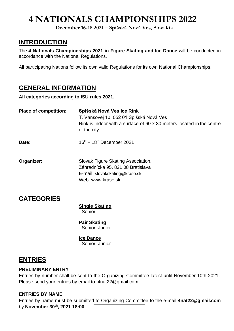**December 16-18 2021 – Spišská Nová Ves, Slovakia**

### **INTRODUCTION**

The **4 Nationals Championships 2021 in Figure Skating and Ice Dance** will be conducted in accordance with the National Regulations.

All participating Nations follow its own valid Regulations for its own National Championships.

### **GENERAL INFORMATION**

**All categories according to ISU rules 2021.**

| <b>Place of competition:</b> | Spišská Nová Ves Ice Rink<br>T. Vansovej 10, 052 01 Spišská Nová Ves<br>Rink is indoor with a surface of 60 x 30 meters located in the centre<br>of the city. |  |
|------------------------------|---------------------------------------------------------------------------------------------------------------------------------------------------------------|--|
| Date:                        | $16^{th} - 18^{th}$ December 2021                                                                                                                             |  |
| Organizer:                   | Slovak Figure Skating Association,<br>Záhradnícka 95, 821 08 Bratislava<br>E-mail: slovakskating@kraso.sk<br>Web: www.kraso.sk                                |  |

## **CATEGORIES**

**Single Skating** - Senior

**Pair Skating** - Senior, Junior

**Ice Dance** - Senior, Junior

## **ENTRIES**

#### **PRELIMINARY ENTRY**

Entries by number shall be sent to the Organizing Committee latest until November 10th 2021. Please send your entries by email to: 4nat22@gmail.com

#### **ENTRIES BY NAME**

Entries by name must be submitted to Organizing Committee to the e-mail **4nat22@gmail.com** by **November 30th , 2021 18:00**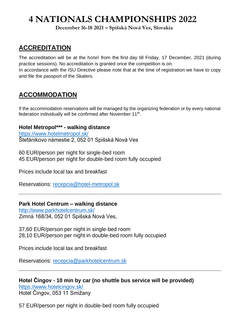**December 16-18 2021 – Spišská Nová Ves, Slovakia**

### **ACCREDITATION**

The accreditation will be at the hotel from the first day till Friday, 17 December, 2021 (during practice sessions). No accreditation is granted once the competition is on. In accordance with the ISU Directive please note that at the time of registration we have to copy and file the passport of the Skaters.

## **ACCOMMODATION**

If the accommodation reservations will be managed by the organizing federation or by every national federation individually will be confirmed after November 11<sup>th</sup>.

#### **Hotel Metropol\*\*\* - walking distance**

<https://www.hotelmetropol.sk/> Štefánikovo námestie 2, 052 01 Spišská Nová Ves

60 EUR/person per night for single-bed room 45 EUR/person per night for double-bed room fully occupied

Prices include local tax and breakfast

Reservations: [recepcia@hotel-metropol.sk](mailto:recepcia@hotel-metropol.sk)

#### **Park Hotel Centrum – walking distance**

<http://www.parkhotelcentrum.sk/> Zimná 168/34, 052 01 Spišská Nová Ves,

37,60 EUR/person per night in single-bed room 28,10 EUR/person per night in double-bed room fully occupied

Prices include local tax and breakfast

Reservations: [recepcia@parkhotelcentrum.sk](mailto:recepcia@parkhotelcentrum.sk)

**Hotel Čingov - 10 min by car (no shuttle bus service will be provided)** <https://www.hotelcingov.sk/> Hotel Čingov, 053 11 Smižany

57 EUR/person per night in double-bed room fully occupied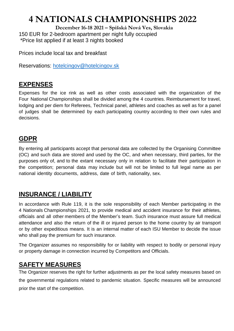**December 16-18 2021 – Spišská Nová Ves, Slovakia** 150 EUR for 2-bedroom apartment per night fully occupied \*Price list applied if at least 3 nights booked

Prices include local tax and breakfast

Reservations: [hotelcingov@hotelcingov.sk](mailto:hotelcingov@hotelcingov.sk)

### **EXPENSES**

Expenses for the ice rink as well as other costs associated with the organization of the Four National Championships shall be divided among the 4 countries. Reimbursement for travel, lodging and per diem for Referees, Technical panel, athletes and coaches as well as for a panel of judges shall be determined by each participating country according to their own rules and decisions.

### **GDPR**

By entering all participants accept that personal data are collected by the Organising Committee (OC) and such data are stored and used by the OC, and when necessary, third parties, for the purposes only of, and to the extant necessary only in relation to facilitate their participation in the competition; personal data may include but will not be limited to full legal name as per national identity documents, address, date of birth, nationality, sex.

## **INSURANCE / LIABILITY**

In accordance with Rule 119, it is the sole responsibility of each Member participating in the 4 Nationals Championships 2021, to provide medical and accident insurance for their athletes, officials and all other members of the Member's team. Such insurance must assure full medical attendance and also the return of the ill or injured person to the home country by air transport or by other expeditious means. It is an internal matter of each ISU Member to decide the issue who shall pay the premium for such insurance.

The Organizer assumes no responsibility for or liability with respect to bodily or personal injury or property damage in connection incurred by Competitors and Officials.

## **SAFETY MEASURES**

The Organizer reserves the right for further adjustments as per the local safety measures based on the governmental regulations related to pandemic situation. Specific measures will be announced prior the start of the competition.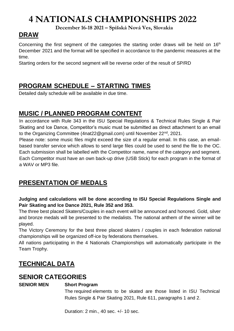**December 16-18 2021 – Spišská Nová Ves, Slovakia**

## **DRAW**

Concerning the first segment of the categories the starting order draws will be held on 16<sup>th</sup> December 2021 and the format will be specified in accordance to the pandemic measures at the time.

Starting orders for the second segment will be reverse order of the result of SP/RD

## **PROGRAM SCHEDULE – STARTING TIMES**

Detailed daily schedule will be available in due time.

### **MUSIC / PLANNED PROGRAM CONTENT**

In accordance with Rule 343 in the ISU Special Regulations & Technical Rules Single & Pair Skating and Ice Dance, Competitor's music must be submitted as direct attachment to an email to the Organizing Committee (4nat22@gmail.com) until November 22nd, 2021.

Please note: some music files might exceed the size of a regular email. In this case, an emailbased transfer service which allows to send large files could be used to send the file to the OC. Each submission shall be labelled with the Competitor name, name of the category and segment. Each Competitor must have an own back-up drive (USB Stick) for each program in the format of a WAV or MP3 file.

## **PRESENTATION OF MEDALS**

#### **Judging and calculations will be done according to ISU Special Regulations Single and Pair Skating and Ice Dance 2021, Rule 352 and 353.**

The three best placed Skaters/Couples in each event will be announced and honored. Gold, silver and bronze medals will be presented to the medalists. The national anthem of the winner will be played.

The Victory Ceremony for the best three placed skaters / couples in each federation national championships will be organized off-ice by federations themselves.

All nations participating in the 4 Nationals Championships will automatically participate in the Team Trophy.

## **TECHNICAL DATA**

### **SENIOR CATEGORIES**

#### **SENIOR MEN Short Program**

The required elements to be skated are those listed in ISU Technical Rules Single & Pair Skating 2021, Rule 611, paragraphs 1 and 2.

Duration: 2 min., 40 sec. +/- 10 sec.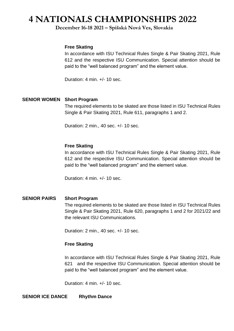#### **December 16-18 2021 – Spišská Nová Ves, Slovakia**

#### **Free Skating**

In accordance with ISU Technical Rules Single & Pair Skating 2021, Rule 612 and the respective ISU Communication. Special attention should be paid to the "well balanced program" and the element value.

Duration: 4 min. +/- 10 sec.

#### **SENIOR WOMEN Short Program**

The required elements to be skated are those listed in ISU Technical Rules Single & Pair Skating 2021, Rule 611, paragraphs 1 and 2.

Duration: 2 min., 40 sec. +/- 10 sec.

#### **Free Skating**

In accordance with ISU Technical Rules Single & Pair Skating 2021, Rule 612 and the respective ISU Communication. Special attention should be paid to the "well balanced program" and the element value.

Duration: 4 min. +/- 10 sec.

#### **SENIOR PAIRS Short Program**  The required elements to be skated are those listed in ISU Technical Rules Single & Pair Skating 2021, Rule 620, paragraphs 1 and 2 for 2021/22 and the relevant ISU Communications.

Duration: 2 min., 40 sec. +/- 10 sec.

#### **Free Skating**

In accordance with ISU Technical Rules Single & Pair Skating 2021, Rule 621 and the respective ISU Communication. Special attention should be paid to the "well balanced program" and the element value.

Duration: 4 min. +/- 10 sec.

**SENIOR ICE DANCE Rhythm Dance**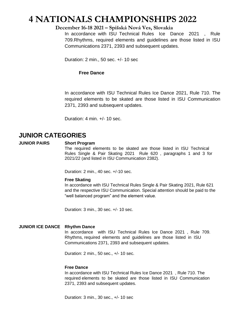#### **December 16-18 2021 – Spišská Nová Ves, Slovakia**

In accordance with ISU Technical Rules Ice Dance 2021 , Rule 709.Rhythms, required elements and guidelines are those listed in ISU Communications 2371, 2393 and subsequent updates.

Duration: 2 min., 50 sec. +/- 10 sec

#### **Free Dance**

In accordance with ISU Technical Rules Ice Dance 2021, Rule 710. The required elements to be skated are those listed in ISU Communication 2371, 2393 and subsequent updates.

Duration: 4 min. +/- 10 sec.

### **JUNIOR CATEGORIES**

#### **JUNIOR PAIRS Short Program**

The required elements to be skated are those listed in ISU Technical Rules Single & Pair Skating 2021 Rule 620 , paragraphs 1 and 3 for 2021/22 (and listed in ISU Communication 2382).

Duration: 2 min., 40 sec. +/-10 sec.

#### **Free Skating**

In accordance with ISU Technical Rules Single & Pair Skating 2021, Rule 621 and the respective ISU Communication. Special attention should be paid to the "well balanced program" and the element value.

Duration: 3 min., 30 sec. +/- 10 sec.

#### **JUNIOR ICE DANCE Rhythm Dance**

In accordance with ISU Technical Rules Ice Dance 2021 , Rule 709. Rhythms, required elements and guidelines are those listed in ISU Communications 2371, 2393 and subsequent updates.

Duration: 2 min., 50 sec., +/- 10 sec.

#### **Free Dance**

In accordance with ISU Technical Rules Ice Dance 2021 , Rule 710. The required elements to be skated are those listed in ISU Communication 2371, 2393 and subsequent updates.

Duration: 3 min., 30 sec., +/- 10 sec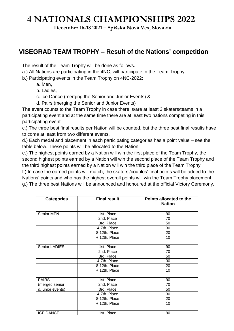**December 16-18 2021 – Spišská Nová Ves, Slovakia**

### **VISEGRAD TEAM TROPHY – Result of the Nations' competition**

The result of the Team Trophy will be done as follows.

- a.) All Nations are participating in the 4NC, will participate in the Team Trophy.
- b.) Participating events in the Team Trophy on 4NC-2022:
	- a. Men,
	- b. Ladies,
	- c. Ice Dance (merging the Senior and Junior Events) &
	- d. Pairs (merging the Senior and Junior Events)

The event counts to the Team Trophy in case there is/are at least 3 skaters/teams in a participating event and at the same time there are at least two nations competing in this participating event.

c.) The three best final results per Nation will be counted, but the three best final results have to come at least from two different events.

d.) Each medal and placement in each participating categories has a point value – see the table below. These points will be allocated to the Nation.

e.) The highest points earned by a Nation will win the first place of the Team Trophy, the second highest points earned by a Nation will win the second place of the Team Trophy and the third highest points earned by a Nation will win the third place of the Team Trophy.

f.) In case the earned points will match, the skaters'/couples' final points will be added to the Nations' points and who has the highest overall points will win the Team Trophy placement. g.) The three best Nations will be announced and honoured at the official Victory Ceremony.

| <b>Categories</b> | <b>Final result</b> | Points allocated to the<br><b>Nation</b> |
|-------------------|---------------------|------------------------------------------|
| Senior MEN        | 1st. Place          | 90                                       |
|                   | 2nd. Place          | 70                                       |
|                   | 3rd. Place          | 50                                       |
|                   | 4-7th. Place        | 30                                       |
|                   | 8-12th. Place       | 20                                       |
|                   | + 12th. Place       | 10                                       |
|                   |                     |                                          |
| Senior LADIES     | 1st. Place          | 90                                       |
|                   | 2nd. Place          | 70                                       |
|                   | 3rd. Place          | 50                                       |
|                   | 4-7th. Place        | 30                                       |
|                   | 8-12th. Place       | 20                                       |
|                   | + 12th. Place       | 10                                       |
|                   |                     |                                          |
| <b>PAIRS</b>      | 1st. Place          | 90                                       |
| (merged senior    | 2nd. Place          | 70                                       |
| & junior events)  | 3rd. Place          | 50                                       |
|                   | 4-7th. Place        | 30                                       |
|                   | 8-12th. Place       | 20                                       |
|                   | + 12th. Place       | 10                                       |
|                   |                     |                                          |
| <b>ICE DANCE</b>  | 1st. Place          | 90                                       |